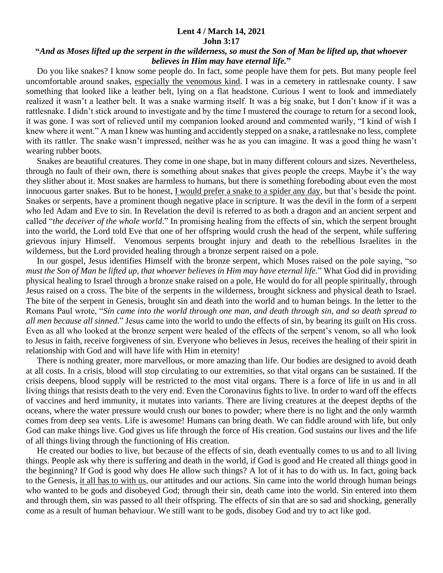## **Lent 4 / March 14, 2021 John 3:17**

## **"***And as Moses lifted up the serpent in the wilderness, so must the Son of Man be lifted up, that whoever believes in Him may have eternal life.***"**

 Do you like snakes? I know some people do. In fact, some people have them for pets. But many people feel uncomfortable around snakes, especially the venomous kind. I was in a cemetery in rattlesnake county. I saw something that looked like a leather belt, lying on a flat headstone. Curious I went to look and immediately realized it wasn't a leather belt. It was a snake warming itself. It was a big snake, but I don't know if it was a rattlesnake. I didn't stick around to investigate and by the time I mustered the courage to return for a second look, it was gone. I was sort of relieved until my companion looked around and commented warily, "I kind of wish I knew where it went." A man I knew was hunting and accidently stepped on a snake, a rattlesnake no less, complete with its rattler. The snake wasn't impressed, neither was he as you can imagine. It was a good thing he wasn't wearing rubber boots.

 Snakes are beautiful creatures. They come in one shape, but in many different colours and sizes. Nevertheless, through no fault of their own, there is something about snakes that gives people the creeps. Maybe it's the way they slither about it. Most snakes are harmless to humans, but there is something foreboding about even the most innocuous garter snakes. But to be honest, I would prefer a snake to a spider any day, but that's beside the point. Snakes or serpents, have a prominent though negative place in scripture. It was the devil in the form of a serpent who led Adam and Eve to sin. In Revelation the devil is referred to as both a dragon and an ancient serpent and called "*the deceiver of the whole world*." In promising healing from the effects of sin, which the serpent brought into the world, the Lord told Eve that one of her offspring would crush the head of the serpent, while suffering grievous injury Himself. Venomous serpents brought injury and death to the rebellious Israelites in the wilderness, but the Lord provided healing through a bronze serpent raised on a pole.

 In our gospel, Jesus identifies Himself with the bronze serpent, which Moses raised on the pole saying, "*so must the Son of Man be lifted up, that whoever believes in Him may have eternal life.*" What God did in providing physical healing to Israel through a bronze snake raised on a pole, He would do for all people spiritually, through Jesus raised on a cross. The bite of the serpents in the wilderness, brought sickness and physical death to Israel. The bite of the serpent in Genesis, brought sin and death into the world and to human beings. In the letter to the Romans Paul wrote, "*Sin came into the world through one man, and death through sin, and so death spread to all men because all sinned.*" Jesus came into the world to undo the effects of sin, by bearing its guilt on His cross. Even as all who looked at the bronze serpent were healed of the effects of the serpent's venom, so all who look to Jesus in faith, receive forgiveness of sin. Everyone who believes in Jesus, receives the healing of their spirit in relationship with God and will have life with Him in eternity!

 There is nothing greater, more marvellous, or more amazing than life. Our bodies are designed to avoid death at all costs. In a crisis, blood will stop circulating to our extremities, so that vital organs can be sustained. If the crisis deepens, blood supply will be restricted to the most vital organs. There is a force of life in us and in all living things that resists death to the very end. Even the Coronavirus fights to live. In order to ward off the effects of vaccines and herd immunity, it mutates into variants. There are living creatures at the deepest depths of the oceans, where the water pressure would crush our bones to powder; where there is no light and the only warmth comes from deep sea vents. Life is awesome! Humans can bring death. We can fiddle around with life, but only God can make things live. God gives us life through the force of His creation. God sustains our lives and the life of all things living through the functioning of His creation.

 He created our bodies to live, but because of the effects of sin, death eventually comes to us and to all living things. People ask why there is suffering and death in the world, if God is good and He created all things good in the beginning? If God is good why does He allow such things? A lot of it has to do with us. In fact, going back to the Genesis, it all has to with us, our attitudes and our actions. Sin came into the world through human beings who wanted to be gods and disobeyed God; through their sin, death came into the world. Sin entered into them and through them, sin was passed to all their offspring. The effects of sin that are so sad and shocking, generally come as a result of human behaviour. We still want to be gods, disobey God and try to act like god.